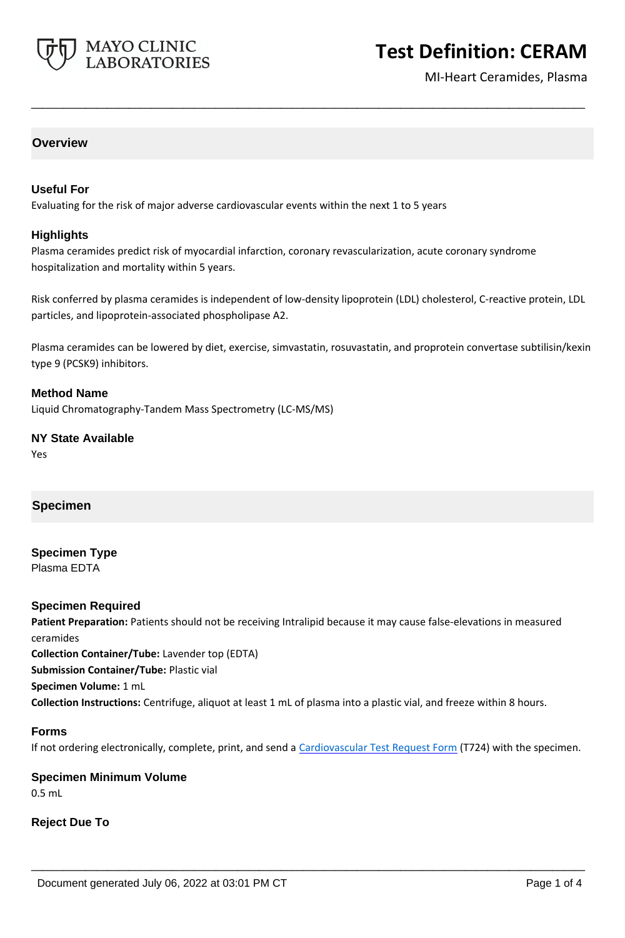

# **Test Definition: CERAM**

MI-Heart Ceramides, Plasma

#### **Overview**

#### **Useful For**

Evaluating for the risk of major adverse cardiovascular events within the next 1 to 5 years

#### **Highlights**

Plasma ceramides predict risk of myocardial infarction, coronary revascularization, acute coronary syndrome hospitalization and mortality within 5 years.

Risk conferred by plasma ceramides is independent of low-density lipoprotein (LDL) cholesterol, C-reactive protein, LDL particles, and lipoprotein-associated phospholipase A2.

**\_\_\_\_\_\_\_\_\_\_\_\_\_\_\_\_\_\_\_\_\_\_\_\_\_\_\_\_\_\_\_\_\_\_\_\_\_\_\_\_\_\_\_\_\_\_\_\_\_\_\_**

Plasma ceramides can be lowered by diet, exercise, simvastatin, rosuvastatin, and proprotein convertase subtilisin/kexin type 9 (PCSK9) inhibitors.

#### **Method Name**

Liquid Chromatography-Tandem Mass Spectrometry (LC-MS/MS)

# **NY State Available**

Yes

## **Specimen**

#### **Specimen Type** Plasma EDTA

#### **Specimen Required**

Patient Preparation: Patients should not be receiving Intralipid because it may cause false-elevations in measured ceramides **Collection Container/Tube:** Lavender top (EDTA) **Submission Container/Tube:** Plastic vial **Specimen Volume:** 1 mL **Collection Instructions:** Centrifuge, aliquot at least 1 mL of plasma into a plastic vial, and freeze within 8 hours.

#### **Forms**

If not ordering electronically, complete, print, and send a [Cardiovascular Test Request Form](https://www.mayocliniclabs.com/it-mmfiles/cardiovascular-request-form.pdf) (T724) with the specimen.

**\_\_\_\_\_\_\_\_\_\_\_\_\_\_\_\_\_\_\_\_\_\_\_\_\_\_\_\_\_\_\_\_\_\_\_\_\_\_\_\_\_\_\_\_\_\_\_\_\_\_\_**

# **Specimen Minimum Volume**

0.5 mL

#### **Reject Due To**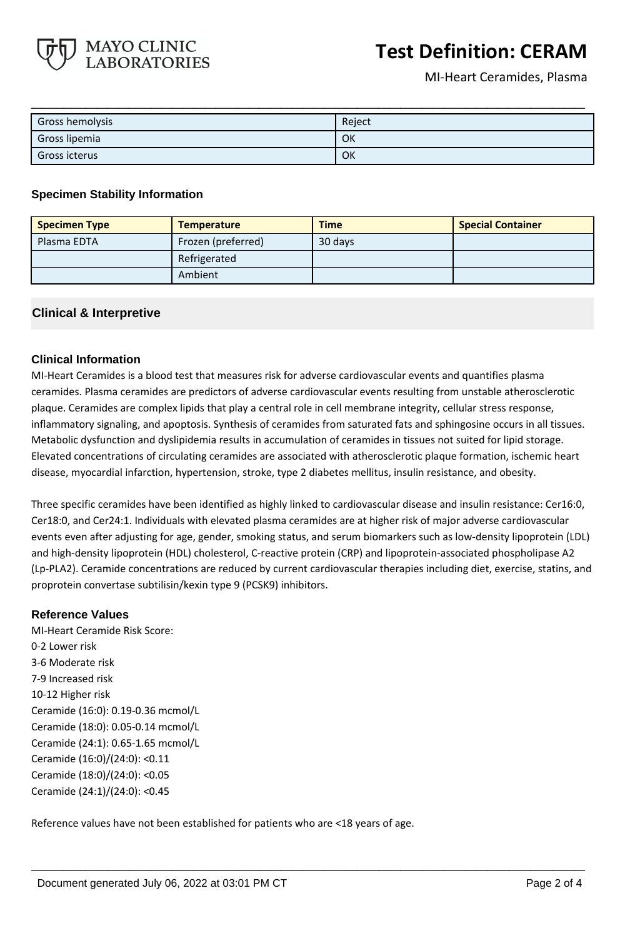

# **Test Definition: CERAM**

MI-Heart Ceramides, Plasma

| Gross hemolysis | Reject |
|-----------------|--------|
| Gross lipemia   | OK     |
| Gross icterus   | OK     |

#### **Specimen Stability Information**

| <b>Specimen Type</b> | <b>Temperature</b> | <b>Time</b> | <b>Special Container</b> |
|----------------------|--------------------|-------------|--------------------------|
| Plasma EDTA          | Frozen (preferred) | 30 days     |                          |
|                      | Refrigerated       |             |                          |
|                      | Ambient            |             |                          |

#### **Clinical & Interpretive**

#### **Clinical Information**

MI-Heart Ceramides is a blood test that measures risk for adverse cardiovascular events and quantifies plasma ceramides. Plasma ceramides are predictors of adverse cardiovascular events resulting from unstable atherosclerotic plaque. Ceramides are complex lipids that play a central role in cell membrane integrity, cellular stress response, inflammatory signaling, and apoptosis. Synthesis of ceramides from saturated fats and sphingosine occurs in all tissues. Metabolic dysfunction and dyslipidemia results in accumulation of ceramides in tissues not suited for lipid storage. Elevated concentrations of circulating ceramides are associated with atherosclerotic plaque formation, ischemic heart disease, myocardial infarction, hypertension, stroke, type 2 diabetes mellitus, insulin resistance, and obesity.

Three specific ceramides have been identified as highly linked to cardiovascular disease and insulin resistance: Cer16:0, Cer18:0, and Cer24:1. Individuals with elevated plasma ceramides are at higher risk of major adverse cardiovascular events even after adjusting for age, gender, smoking status, and serum biomarkers such as low-density lipoprotein (LDL) and high-density lipoprotein (HDL) cholesterol, C-reactive protein (CRP) and lipoprotein-associated phospholipase A2 (Lp-PLA2). Ceramide concentrations are reduced by current cardiovascular therapies including diet, exercise, statins, and proprotein convertase subtilisin/kexin type 9 (PCSK9) inhibitors.

**\_\_\_\_\_\_\_\_\_\_\_\_\_\_\_\_\_\_\_\_\_\_\_\_\_\_\_\_\_\_\_\_\_\_\_\_\_\_\_\_\_\_\_\_\_\_\_\_\_\_\_**

#### **Reference Values**

MI-Heart Ceramide Risk Score: 0-2 Lower risk 3-6 Moderate risk 7-9 Increased risk 10-12 Higher risk Ceramide (16:0): 0.19-0.36 mcmol/L Ceramide (18:0): 0.05-0.14 mcmol/L Ceramide (24:1): 0.65-1.65 mcmol/L Ceramide (16:0)/(24:0): <0.11 Ceramide (18:0)/(24:0): <0.05 Ceramide (24:1)/(24:0): <0.45

Reference values have not been established for patients who are <18 years of age.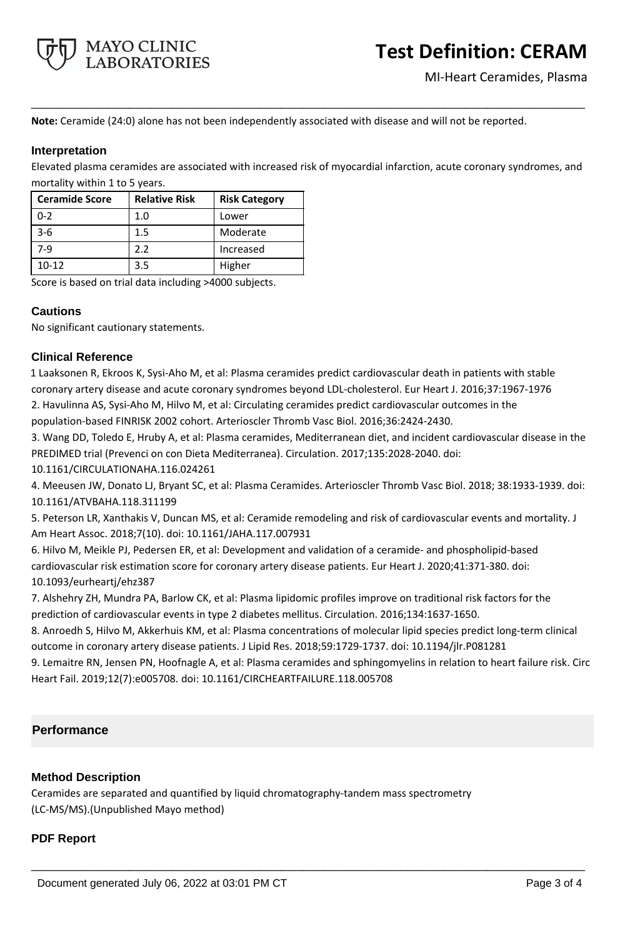

**Note:** Ceramide (24:0) alone has not been independently associated with disease and will not be reported.

#### **Interpretation**

Elevated plasma ceramides are associated with increased risk of myocardial infarction, acute coronary syndromes, and mortality within 1 to 5 years.

**\_\_\_\_\_\_\_\_\_\_\_\_\_\_\_\_\_\_\_\_\_\_\_\_\_\_\_\_\_\_\_\_\_\_\_\_\_\_\_\_\_\_\_\_\_\_\_\_\_\_\_**

| <b>Ceramide Score</b> | <b>Relative Risk</b> | <b>Risk Category</b> |
|-----------------------|----------------------|----------------------|
| $0 - 2$               | 1.0                  | Lower                |
| $3 - 6$               | 1.5                  | Moderate             |
| 7-9                   | 2.2                  | Increased            |
| $10 - 12$             | 3.5                  | Higher               |

Score is based on trial data including >4000 subjects.

#### **Cautions**

No significant cautionary statements.

### **Clinical Reference**

1 Laaksonen R, Ekroos K, Sysi-Aho M, et al: Plasma ceramides predict cardiovascular death in patients with stable coronary artery disease and acute coronary syndromes beyond LDL-cholesterol. Eur Heart J. 2016;37:1967-1976 2. Havulinna AS, Sysi-Aho M, Hilvo M, et al: Circulating ceramides predict cardiovascular outcomes in the population-based FINRISK 2002 cohort. Arterioscler Thromb Vasc Biol. 2016;36:2424-2430.

3. Wang DD, Toledo E, Hruby A, et al: Plasma ceramides, Mediterranean diet, and incident cardiovascular disease in the PREDIMED trial (Prevenci on con Dieta Mediterranea). Circulation. 2017;135:2028-2040. doi: 10.1161/CIRCULATIONAHA.116.024261

4. Meeusen JW, Donato LJ, Bryant SC, et al: Plasma Ceramides. Arterioscler Thromb Vasc Biol. 2018; 38:1933-1939. doi: 10.1161/ATVBAHA.118.311199

5. Peterson LR, Xanthakis V, Duncan MS, et al: Ceramide remodeling and risk of cardiovascular events and mortality. J Am Heart Assoc. 2018;7(10). doi: 10.1161/JAHA.117.007931

6. Hilvo M, Meikle PJ, Pedersen ER, et al: Development and validation of a ceramide- and phospholipid-based cardiovascular risk estimation score for coronary artery disease patients. Eur Heart J. 2020;41:371-380. doi: 10.1093/eurheartj/ehz387

7. Alshehry ZH, Mundra PA, Barlow CK, et al: Plasma lipidomic profiles improve on traditional risk factors for the prediction of cardiovascular events in type 2 diabetes mellitus. Circulation. 2016;134:1637-1650.

8. Anroedh S, Hilvo M, Akkerhuis KM, et al: Plasma concentrations of molecular lipid species predict long-term clinical outcome in coronary artery disease patients. J Lipid Res. 2018;59:1729-1737. doi: 10.1194/jlr.P081281

9. Lemaitre RN, Jensen PN, Hoofnagle A, et al: Plasma ceramides and sphingomyelins in relation to heart failure risk. Circ Heart Fail. 2019;12(7):e005708. doi: 10.1161/CIRCHEARTFAILURE.118.005708

**\_\_\_\_\_\_\_\_\_\_\_\_\_\_\_\_\_\_\_\_\_\_\_\_\_\_\_\_\_\_\_\_\_\_\_\_\_\_\_\_\_\_\_\_\_\_\_\_\_\_\_**

## **Performance**

#### **Method Description**

Ceramides are separated and quantified by liquid chromatography-tandem mass spectrometry (LC-MS/MS).(Unpublished Mayo method)

#### **PDF Report**